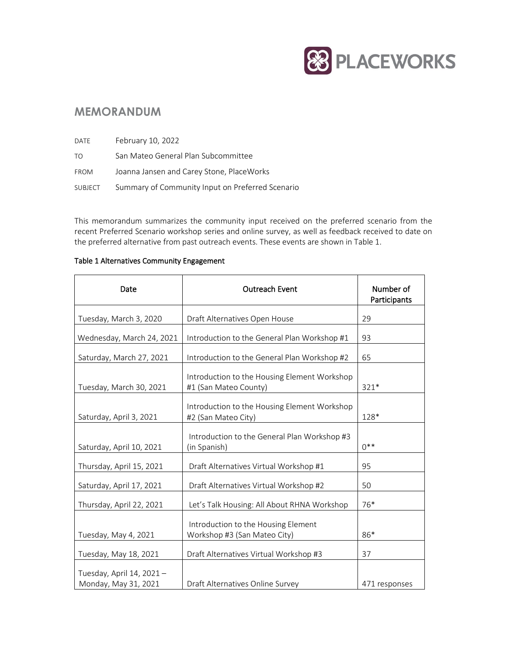

# **MEMORANDUM**

| DATE        | February 10, 2022                                |
|-------------|--------------------------------------------------|
| TO.         | San Mateo General Plan Subcommittee              |
| <b>FROM</b> | Joanna Jansen and Carey Stone, PlaceWorks        |
| SUBJECT     | Summary of Community Input on Preferred Scenario |

This memorandum summarizes the community input received on the preferred scenario from the recent Preferred Scenario workshop series and online survey, as well as feedback received to date on the preferred alternative from past outreach events. These events are shown in Table 1.

## Table 1 Alternatives Community Engagement

| Date                                             | <b>Outreach Event</b>                                                 | Number of<br>Participants |
|--------------------------------------------------|-----------------------------------------------------------------------|---------------------------|
| Tuesday, March 3, 2020                           | Draft Alternatives Open House                                         | 29                        |
| Wednesday, March 24, 2021                        | Introduction to the General Plan Workshop #1                          | 93                        |
| Saturday, March 27, 2021                         | Introduction to the General Plan Workshop #2                          | 65                        |
| Tuesday, March 30, 2021                          | Introduction to the Housing Element Workshop<br>#1 (San Mateo County) | 321*                      |
| Saturday, April 3, 2021                          | Introduction to the Housing Element Workshop<br>#2 (San Mateo City)   | 128*                      |
| Saturday, April 10, 2021                         | Introduction to the General Plan Workshop #3<br>(in Spanish)          | $0**$                     |
| Thursday, April 15, 2021                         | Draft Alternatives Virtual Workshop #1                                | 95                        |
| Saturday, April 17, 2021                         | Draft Alternatives Virtual Workshop #2                                | 50                        |
| Thursday, April 22, 2021                         | Let's Talk Housing: All About RHNA Workshop                           | 76*                       |
| Tuesday, May 4, 2021                             | Introduction to the Housing Element<br>Workshop #3 (San Mateo City)   | 86*                       |
| Tuesday, May 18, 2021                            | Draft Alternatives Virtual Workshop #3                                | 37                        |
| Tuesday, April 14, 2021-<br>Monday, May 31, 2021 | Draft Alternatives Online Survey                                      | 471 responses             |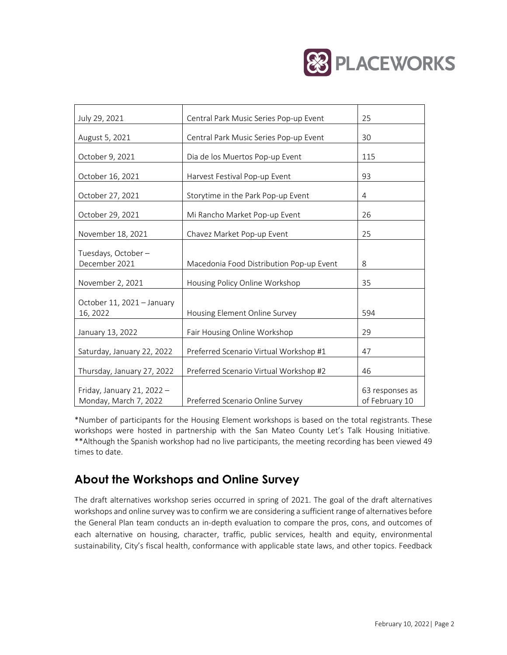

| July 29, 2021                                       | Central Park Music Series Pop-up Event   | 25                                |
|-----------------------------------------------------|------------------------------------------|-----------------------------------|
| August 5, 2021                                      | Central Park Music Series Pop-up Event   | 30                                |
| October 9, 2021                                     | Dia de los Muertos Pop-up Event          | 115                               |
| October 16, 2021                                    | Harvest Festival Pop-up Event            | 93                                |
| October 27, 2021                                    | Storytime in the Park Pop-up Event       | 4                                 |
| October 29, 2021                                    | Mi Rancho Market Pop-up Event            | 26                                |
| November 18, 2021                                   | Chavez Market Pop-up Event               | 25                                |
| Tuesdays, October-<br>December 2021                 | Macedonia Food Distribution Pop-up Event | 8                                 |
| November 2, 2021                                    | Housing Policy Online Workshop           | 35                                |
| October 11, 2021 - January<br>16, 2022              | Housing Element Online Survey            | 594                               |
| January 13, 2022                                    | Fair Housing Online Workshop             | 29                                |
| Saturday, January 22, 2022                          | Preferred Scenario Virtual Workshop #1   | 47                                |
| Thursday, January 27, 2022                          | Preferred Scenario Virtual Workshop #2   | 46                                |
| Friday, January 21, 2022 -<br>Monday, March 7, 2022 | Preferred Scenario Online Survey         | 63 responses as<br>of February 10 |

\*Number of participants for the Housing Element workshops is based on the total registrants. These workshops were hosted in partnership with the San Mateo County Let's Talk Housing Initiative. \*\*Although the Spanish workshop had no live participants, the meeting recording has been viewed 49 times to date.

# **About the Workshops and Online Survey**

The draft alternatives workshop series occurred in spring of 2021. The goal of the draft alternatives workshops and online survey was to confirm we are considering a sufficient range of alternatives before the General Plan team conducts an in-depth evaluation to compare the pros, cons, and outcomes of each alternative on housing, character, traffic, public services, health and equity, environmental sustainability, City's fiscal health, conformance with applicable state laws, and other topics. Feedback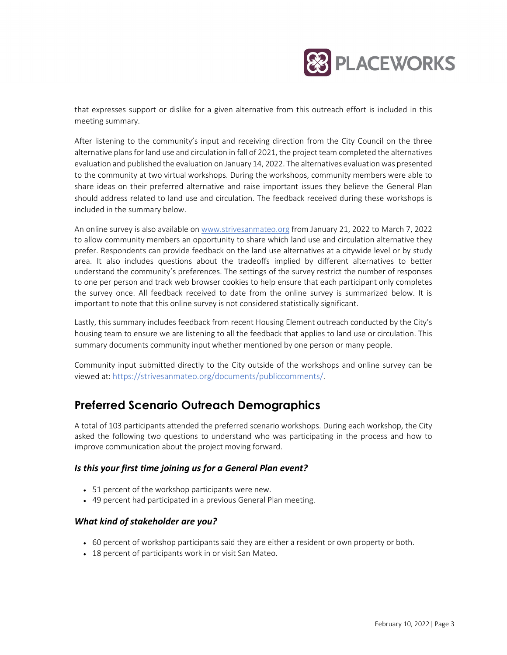

that expresses support or dislike for a given alternative from this outreach effort is included in this meeting summary.

After listening to the community's input and receiving direction from the City Council on the three alternative plans for land use and circulation in fall of 2021, the project team completed the alternatives evaluation and published the evaluation on January 14, 2022. The alternatives evaluation was presented to the community at two virtual workshops. During the workshops, community members were able to share ideas on their preferred alternative and raise important issues they believe the General Plan should address related to land use and circulation. The feedback received during these workshops is included in the summary below.

An online survey is also available o[n www.strivesanmateo.org](http://www.strivesanmateo.org/) from January 21, 2022 to March 7, 2022 to allow community members an opportunity to share which land use and circulation alternative they prefer. Respondents can provide feedback on the land use alternatives at a citywide level or by study area. It also includes questions about the tradeoffs implied by different alternatives to better understand the community's preferences. The settings of the survey restrict the number of responses to one per person and track web browser cookies to help ensure that each participant only completes the survey once. All feedback received to date from the online survey is summarized below. It is important to note that this online survey is not considered statistically significant.

Lastly, this summary includes feedback from recent Housing Element outreach conducted by the City's housing team to ensure we are listening to all the feedback that applies to land use or circulation. This summary documents community input whether mentioned by one person or many people.

Community input submitted directly to the City outside of the workshops and online survey can be viewed at: [https://strivesanmateo.org/documents/publiccomments/.](https://strivesanmateo.org/documents/publiccomments/)

# **Preferred Scenario Outreach Demographics**

A total of 103 participants attended the preferred scenario workshops. During each workshop, the City asked the following two questions to understand who was participating in the process and how to improve communication about the project moving forward.

## *Is this your first time joining us for a General Plan event?*

- 51 percent of the workshop participants were new.
- 49 percent had participated in a previous General Plan meeting.

## *What kind of stakeholder are you?*

- 60 percent of workshop participants said they are either a resident or own property or both.
- 18 percent of participants work in or visit San Mateo.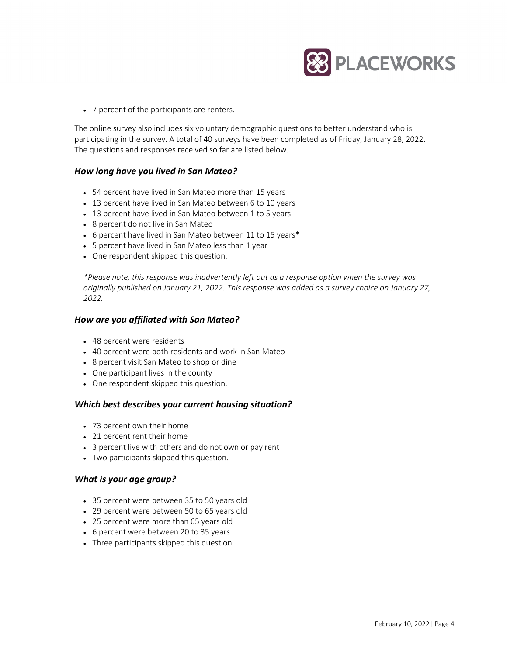

• 7 percent of the participants are renters.

The online survey also includes six voluntary demographic questions to better understand who is participating in the survey. A total of 40 surveys have been completed as of Friday, January 28, 2022. The questions and responses received so far are listed below.

## *How long have you lived in San Mateo?*

- 54 percent have lived in San Mateo more than 15 years
- 13 percent have lived in San Mateo between 6 to 10 years
- 13 percent have lived in San Mateo between 1 to 5 years
- 8 percent do not live in San Mateo
- 6 percent have lived in San Mateo between 11 to 15 years\*
- 5 percent have lived in San Mateo less than 1 year
- One respondent skipped this question.

*\*Please note, this response was inadvertently left out as a response option when the survey was originally published on January 21, 2022. This response was added as a survey choice on January 27, 2022.* 

## *How are you affiliated with San Mateo?*

- 48 percent were residents
- 40 percent were both residents and work in San Mateo
- 8 percent visit San Mateo to shop or dine
- One participant lives in the county
- One respondent skipped this question.

## *Which best describes your current housing situation?*

- 73 percent own their home
- 21 percent rent their home
- 3 percent live with others and do not own or pay rent
- Two participants skipped this question.

## *What is your age group?*

- 35 percent were between 35 to 50 years old
- 29 percent were between 50 to 65 years old
- 25 percent were more than 65 years old
- 6 percent were between 20 to 35 years
- Three participants skipped this question.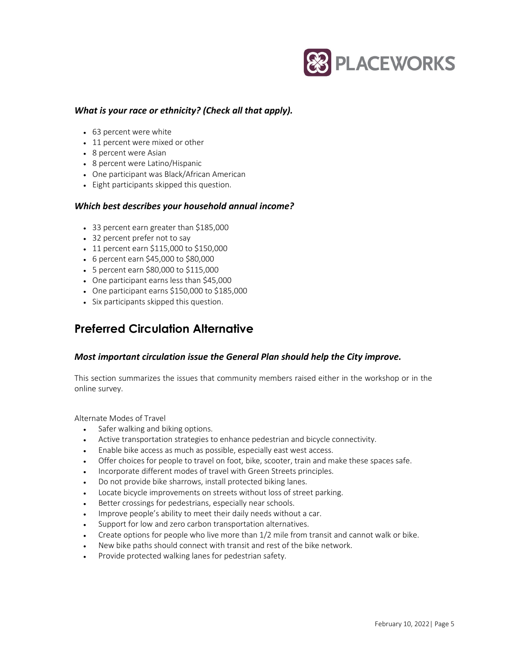

## *What is your race or ethnicity? (Check all that apply).*

- 63 percent were white
- 11 percent were mixed or other
- 8 percent were Asian
- 8 percent were Latino/Hispanic
- One participant was Black/African American
- Eight participants skipped this question.

## *Which best describes your household annual income?*

- 33 percent earn greater than \$185,000
- 32 percent prefer not to say
- 11 percent earn \$115,000 to \$150,000
- 6 percent earn \$45,000 to \$80,000
- 5 percent earn \$80,000 to \$115,000
- One participant earns less than \$45,000
- One participant earns \$150,000 to \$185,000
- Six participants skipped this question.

# **Preferred Circulation Alternative**

## *Most important circulation issue the General Plan should help the City improve.*

This section summarizes the issues that community members raised either in the workshop or in the online survey.

Alternate Modes of Travel

- Safer walking and biking options.
- Active transportation strategies to enhance pedestrian and bicycle connectivity.
- Enable bike access as much as possible, especially east west access.
- Offer choices for people to travel on foot, bike, scooter, train and make these spaces safe.
- Incorporate different modes of travel with Green Streets principles.
- Do not provide bike sharrows, install protected biking lanes.
- Locate bicycle improvements on streets without loss of street parking.
- Better crossings for pedestrians, especially near schools.
- Improve people's ability to meet their daily needs without a car.
- Support for low and zero carbon transportation alternatives.
- Create options for people who live more than 1/2 mile from transit and cannot walk or bike.
- New bike paths should connect with transit and rest of the bike network.
- Provide protected walking lanes for pedestrian safety.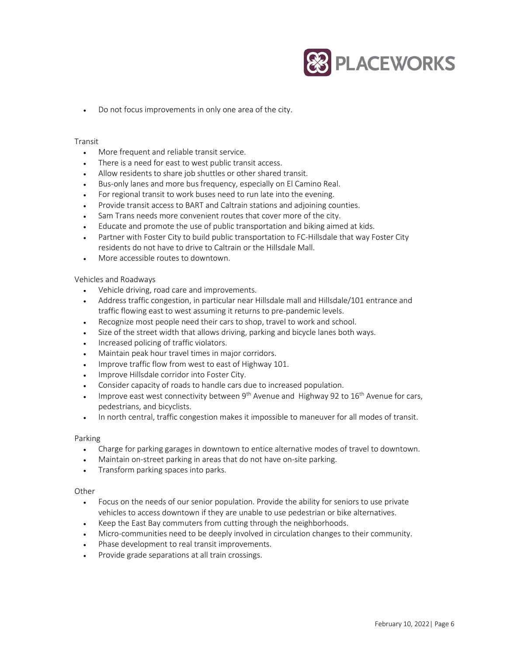

• Do not focus improvements in only one area of the city.

#### Transit

- More frequent and reliable transit service.
- There is a need for east to west public transit access.
- Allow residents to share job shuttles or other shared transit.
- Bus-only lanes and more bus frequency, especially on El Camino Real.
- For regional transit to work buses need to run late into the evening.
- Provide transit access to BART and Caltrain stations and adjoining counties.
- Sam Trans needs more convenient routes that cover more of the city.
- Educate and promote the use of public transportation and biking aimed at kids.
- Partner with Foster City to build public transportation to FC-Hillsdale that way Foster City residents do not have to drive to Caltrain or the Hillsdale Mall.
- More accessible routes to downtown.

#### Vehicles and Roadways

- Vehicle driving, road care and improvements.
- Address traffic congestion, in particular near Hillsdale mall and Hillsdale/101 entrance and traffic flowing east to west assuming it returns to pre-pandemic levels.
- Recognize most people need their cars to shop, travel to work and school.
- Size of the street width that allows driving, parking and bicycle lanes both ways.
- Increased policing of traffic violators.
- Maintain peak hour travel times in major corridors.
- Improve traffic flow from west to east of Highway 101.
- Improve Hillsdale corridor into Foster City.
- Consider capacity of roads to handle cars due to increased population.
- Improve east west connectivity between 9<sup>th</sup> Avenue and Highway 92 to 16<sup>th</sup> Avenue for cars, pedestrians, and bicyclists.
- In north central, traffic congestion makes it impossible to maneuver for all modes of transit.

#### Parking

- Charge for parking garages in downtown to entice alternative modes of travel to downtown.
- Maintain on-street parking in areas that do not have on-site parking.
- Transform parking spaces into parks.

#### **Other**

- Focus on the needs of our senior population. Provide the ability for seniors to use private vehicles to access downtown if they are unable to use pedestrian or bike alternatives.
- Keep the East Bay commuters from cutting through the neighborhoods.
- Micro-communities need to be deeply involved in circulation changes to their community.
- Phase development to real transit improvements.
- Provide grade separations at all train crossings.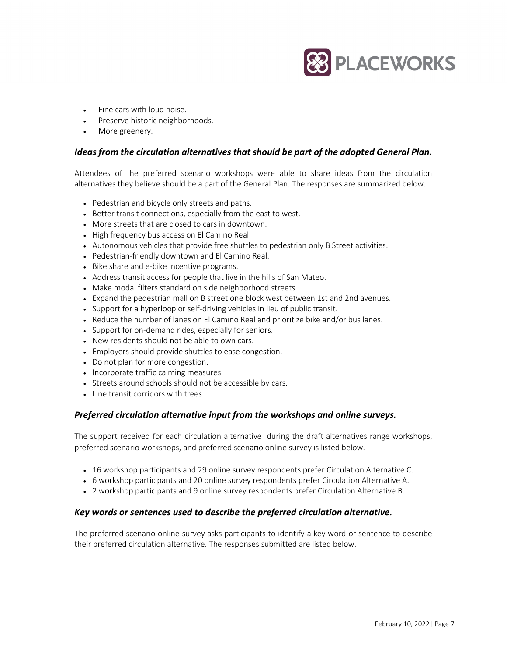

- Fine cars with loud noise.
- Preserve historic neighborhoods.
- More greenery.

## *Ideas from the circulation alternatives that should be part of the adopted General Plan.*

Attendees of the preferred scenario workshops were able to share ideas from the circulation alternatives they believe should be a part of the General Plan. The responses are summarized below.

- Pedestrian and bicycle only streets and paths.
- Better transit connections, especially from the east to west.
- More streets that are closed to cars in downtown.
- High frequency bus access on El Camino Real.
- Autonomous vehicles that provide free shuttles to pedestrian only B Street activities.
- Pedestrian-friendly downtown and El Camino Real.
- Bike share and e-bike incentive programs.
- Address transit access for people that live in the hills of San Mateo.
- Make modal filters standard on side neighborhood streets.
- Expand the pedestrian mall on B street one block west between 1st and 2nd avenues.
- Support for a hyperloop or self-driving vehicles in lieu of public transit.
- Reduce the number of lanes on El Camino Real and prioritize bike and/or bus lanes.
- Support for on-demand rides, especially for seniors.
- New residents should not be able to own cars.
- Employers should provide shuttles to ease congestion.
- Do not plan for more congestion.
- Incorporate traffic calming measures.
- Streets around schools should not be accessible by cars.
- Line transit corridors with trees.

## *Preferred circulation alternative input from the workshops and online surveys.*

The support received for each circulation alternative during the draft alternatives range workshops, preferred scenario workshops, and preferred scenario online survey is listed below.

- 16 workshop participants and 29 online survey respondents prefer Circulation Alternative C.
- 6 workshop participants and 20 online survey respondents prefer Circulation Alternative A.
- 2 workshop participants and 9 online survey respondents prefer Circulation Alternative B.

## *Key words or sentences used to describe the preferred circulation alternative.*

The preferred scenario online survey asks participants to identify a key word or sentence to describe their preferred circulation alternative. The responses submitted are listed below.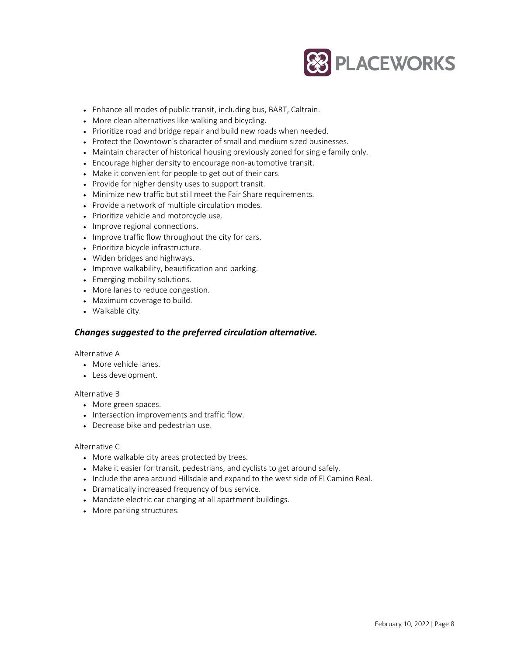

- Enhance all modes of public transit, including bus, BART, Caltrain.
- More clean alternatives like walking and bicycling.
- Prioritize road and bridge repair and build new roads when needed.
- Protect the Downtown's character of small and medium sized businesses.
- Maintain character of historical housing previously zoned for single family only.
- Encourage higher density to encourage non-automotive transit.
- Make it convenient for people to get out of their cars.
- Provide for higher density uses to support transit.
- Minimize new traffic but still meet the Fair Share requirements.
- Provide a network of multiple circulation modes.
- Prioritize vehicle and motorcycle use.
- Improve regional connections.
- Improve traffic flow throughout the city for cars.
- Prioritize bicycle infrastructure.
- Widen bridges and highways.
- Improve walkability, beautification and parking.
- Emerging mobility solutions.
- More lanes to reduce congestion.
- Maximum coverage to build.
- Walkable city.

## *Changes suggested to the preferred circulation alternative.*

## Alternative A

- More vehicle lanes.
- Less development.

## Alternative B

- More green spaces.
- Intersection improvements and traffic flow.
- Decrease bike and pedestrian use.

## Alternative C

- More walkable city areas protected by trees.
- Make it easier for transit, pedestrians, and cyclists to get around safely.
- Include the area around Hillsdale and expand to the west side of El Camino Real.
- Dramatically increased frequency of bus service.
- Mandate electric car charging at all apartment buildings.
- More parking structures.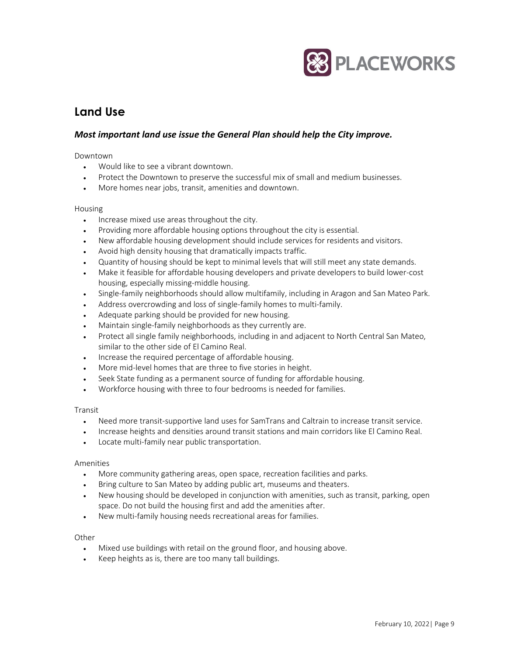

# **Land Use**

## *Most important land use issue the General Plan should help the City improve.*

#### Downtown

- Would like to see a vibrant downtown.
- Protect the Downtown to preserve the successful mix of small and medium businesses.
- More homes near jobs, transit, amenities and downtown.

#### Housing

- Increase mixed use areas throughout the city.
- Providing more affordable housing options throughout the city is essential.
- New affordable housing development should include services for residents and visitors.
- Avoid high density housing that dramatically impacts traffic.
- Quantity of housing should be kept to minimal levels that will still meet any state demands.
- Make it feasible for affordable housing developers and private developers to build lower-cost housing, especially missing-middle housing.
- Single-family neighborhoods should allow multifamily, including in Aragon and San Mateo Park.
- Address overcrowding and loss of single-family homes to multi-family.
- Adequate parking should be provided for new housing.
- Maintain single-family neighborhoods as they currently are.
- Protect all single family neighborhoods, including in and adjacent to North Central San Mateo, similar to the other side of El Camino Real.
- Increase the required percentage of affordable housing.
- More mid-level homes that are three to five stories in height.
- Seek State funding as a permanent source of funding for affordable housing.
- Workforce housing with three to four bedrooms is needed for families.

## Transit

- Need more transit-supportive land uses for SamTrans and Caltrain to increase transit service.
- Increase heights and densities around transit stations and main corridors like El Camino Real.
- Locate multi-family near public transportation.

## Amenities

- More community gathering areas, open space, recreation facilities and parks.
- Bring culture to San Mateo by adding public art, museums and theaters.
- New housing should be developed in conjunction with amenities, such as transit, parking, open space. Do not build the housing first and add the amenities after.
- New multi-family housing needs recreational areas for families.

## **Other**

- Mixed use buildings with retail on the ground floor, and housing above.
- Keep heights as is, there are too many tall buildings.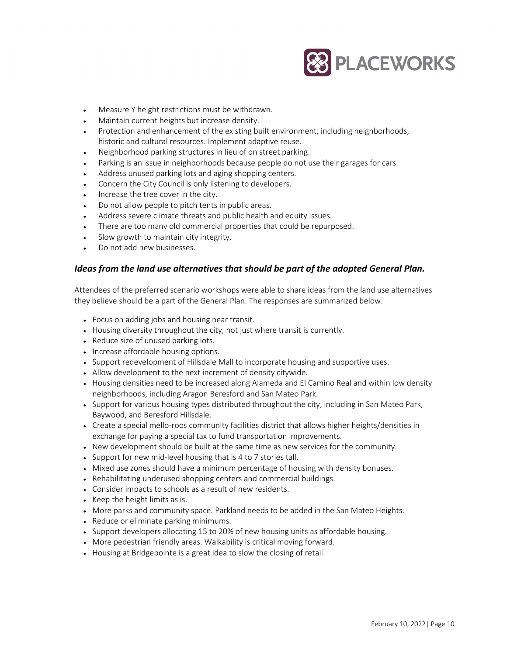

- Measure Y height restrictions must be withdrawn.
- Maintain current heights but increase density.
- Protection and enhancement of the existing built environment, including neighborhoods, historic and cultural resources. Implement adaptive reuse.
- Neighborhood parking structures in lieu of on street parking.
- Parking is an issue in neighborhoods because people do not use their garages for cars.
- Address unused parking lots and aging shopping centers.
- Concern the City Council is only listening to developers.
- Increase the tree cover in the city.
- Do not allow people to pitch tents in public areas.
- Address severe climate threats and public health and equity issues.
- There are too many old commercial properties that could be repurposed.
- Slow growth to maintain city integrity.
- Do not add new businesses.

## *Ideas from the land use alternatives that should be part of the adopted General Plan.*

Attendees of the preferred scenario workshops were able to share ideas from the land use alternatives they believe should be a part of the General Plan. The responses are summarized below.

- Focus on adding jobs and housing near transit.
- Housing diversity throughout the city, not just where transit is currently.
- Reduce size of unused parking lots.
- Increase affordable housing options.
- Support redevelopment of Hillsdale Mall to incorporate housing and supportive uses.
- Allow development to the next increment of density citywide.
- Housing densities need to be increased along Alameda and El Camino Real and within low density neighborhoods, including Aragon Beresford and San Mateo Park.
- Support for various housing types distributed throughout the city, including in San Mateo Park, Baywood, and Beresford Hillsdale.
- Create a special mello-roos community facilities district that allows higher heights/densities in exchange for paying a special tax to fund transportation improvements.
- New development should be built at the same time as new services for the community.
- Support for new mid-level housing that is 4 to 7 stories tall.
- Mixed use zones should have a minimum percentage of housing with density bonuses.
- Rehabilitating underused shopping centers and commercial buildings.
- Consider impacts to schools as a result of new residents.
- Keep the height limits as is.
- More parks and community space. Parkland needs to be added in the San Mateo Heights.
- Reduce or eliminate parking minimums.
- Support developers allocating 15 to 20% of new housing units as affordable housing.
- More pedestrian friendly areas. Walkability is critical moving forward.
- Housing at Bridgepointe is a great idea to slow the closing of retail.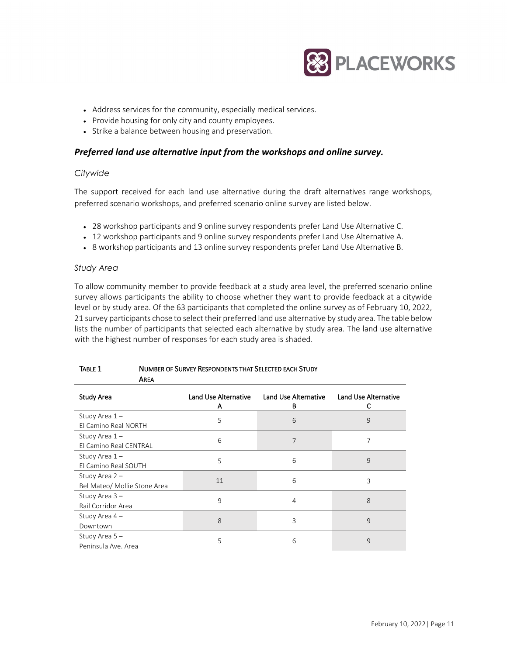

- Address services for the community, especially medical services.
- Provide housing for only city and county employees.
- Strike a balance between housing and preservation.

## *Preferred land use alternative input from the workshops and online survey.*

## *Citywide*

The support received for each land use alternative during the draft alternatives range workshops, preferred scenario workshops, and preferred scenario online survey are listed below.

- 28 workshop participants and 9 online survey respondents prefer Land Use Alternative C.
- 12 workshop participants and 9 online survey respondents prefer Land Use Alternative A.
- 8 workshop participants and 13 online survey respondents prefer Land Use Alternative B.

## *Study Area*

To allow community member to provide feedback at a study area level, the preferred scenario online survey allows participants the ability to choose whether they want to provide feedback at a citywide level or by study area. Of the 63 participants that completed the online survey as of February 10, 2022, 21 survey participants chose to select their preferred land use alternative by study area. The table below lists the number of participants that selected each alternative by study area. The land use alternative with the highest number of responses for each study area is shaded.

| AREA                                             |                           |                           |                           |
|--------------------------------------------------|---------------------------|---------------------------|---------------------------|
| <b>Study Area</b>                                | Land Use Alternative<br>A | Land Use Alternative<br>В | Land Use Alternative<br>C |
| Study Area 1-<br>El Camino Real NORTH            | 5                         | 6                         | 9                         |
| Study Area 1-<br>El Camino Real CENTRAL          | 6                         | 7                         | 7                         |
| Study Area $1-$<br>El Camino Real SOUTH          | 5                         | 6                         | 9                         |
| Study Area $2 -$<br>Bel Mateo/ Mollie Stone Area | 11                        | 6                         | 3                         |
| Study Area 3-<br>Rail Corridor Area              | 9                         | 4                         | 8                         |
| Study Area 4-<br>Downtown                        | 8                         | 3                         | 9                         |
| Study Area $5 -$<br>Peninsula Ave. Area          | 5                         | 6                         | 9                         |

## TABLE 1 NUMBER OF SURVEY RESPONDENTS THAT SELECTED EACH STUDY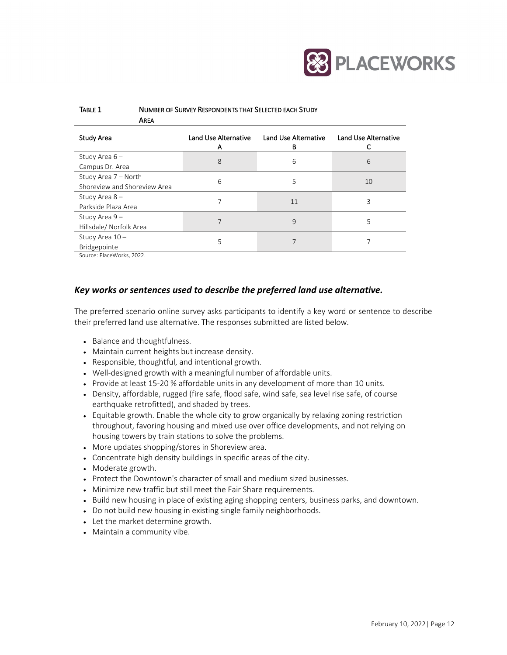

| TABLE 1 | NUMBER OF SURVEY RESPONDENTS THAT SELECTED EACH STUDY |  |  |
|---------|-------------------------------------------------------|--|--|
|         | AREA                                                  |  |  |

| Study Area                                                | Land Use Alternative<br>A | <b>Land Use Alternative</b><br>в | <b>Land Use Alternative</b> |
|-----------------------------------------------------------|---------------------------|----------------------------------|-----------------------------|
| Study Area 6-<br>Campus Dr. Area                          | 8                         | 6                                | 6                           |
| Study Area 7 - North<br>Shoreview and Shoreview Area      | 6                         | 5                                | 10                          |
| Study Area 8-<br>Parkside Plaza Area                      | 7                         | 11                               | 3                           |
| Study Area 9-<br>Hillsdale/ Norfolk Area                  | 7                         | 9                                | 5                           |
| Study Area 10-<br>Bridgepointe<br>Source: PlaceMorks 2022 | 5                         |                                  |                             |

Source: PlaceWorks, 2022.

## *Key works or sentences used to describe the preferred land use alternative.*

The preferred scenario online survey asks participants to identify a key word or sentence to describe their preferred land use alternative. The responses submitted are listed below.

- Balance and thoughtfulness.
- Maintain current heights but increase density.
- Responsible, thoughtful, and intentional growth.
- Well-designed growth with a meaningful number of affordable units.
- Provide at least 15-20 % affordable units in any development of more than 10 units.
- Density, affordable, rugged (fire safe, flood safe, wind safe, sea level rise safe, of course earthquake retrofitted), and shaded by trees.
- Equitable growth. Enable the whole city to grow organically by relaxing zoning restriction throughout, favoring housing and mixed use over office developments, and not relying on housing towers by train stations to solve the problems.
- More updates shopping/stores in Shoreview area.
- Concentrate high density buildings in specific areas of the city.
- Moderate growth.
- Protect the Downtown's character of small and medium sized businesses.
- Minimize new traffic but still meet the Fair Share requirements.
- Build new housing in place of existing aging shopping centers, business parks, and downtown.
- Do not build new housing in existing single family neighborhoods.
- Let the market determine growth.
- Maintain a community vibe.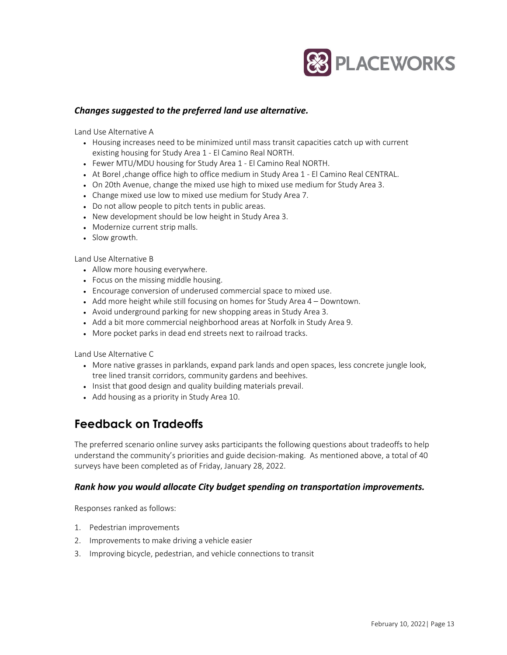

## *Changes suggested to the preferred land use alternative.*

Land Use Alternative A

- Housing increases need to be minimized until mass transit capacities catch up with current existing housing for Study Area 1 - El Camino Real NORTH.
- Fewer MTU/MDU housing for Study Area 1 El Camino Real NORTH.
- At Borel ,change office high to office medium in Study Area 1 El Camino Real CENTRAL.
- On 20th Avenue, change the mixed use high to mixed use medium for Study Area 3.
- Change mixed use low to mixed use medium for Study Area 7.
- Do not allow people to pitch tents in public areas.
- New development should be low height in Study Area 3.
- Modernize current strip malls.
- Slow growth.

Land Use Alternative B

- Allow more housing everywhere.
- Focus on the missing middle housing.
- Encourage conversion of underused commercial space to mixed use.
- Add more height while still focusing on homes for Study Area 4 Downtown.
- Avoid underground parking for new shopping areas in Study Area 3.
- Add a bit more commercial neighborhood areas at Norfolk in Study Area 9.
- More pocket parks in dead end streets next to railroad tracks.

Land Use Alternative C

- More native grasses in parklands, expand park lands and open spaces, less concrete jungle look, tree lined transit corridors, community gardens and beehives.
- Insist that good design and quality building materials prevail.
- Add housing as a priority in Study Area 10.

# **Feedback on Tradeoffs**

The preferred scenario online survey asks participants the following questions about tradeoffs to help understand the community's priorities and guide decision-making. As mentioned above, a total of 40 surveys have been completed as of Friday, January 28, 2022.

## *Rank how you would allocate City budget spending on transportation improvements.*

Responses ranked as follows:

- 1. Pedestrian improvements
- 2. Improvements to make driving a vehicle easier
- 3. Improving bicycle, pedestrian, and vehicle connections to transit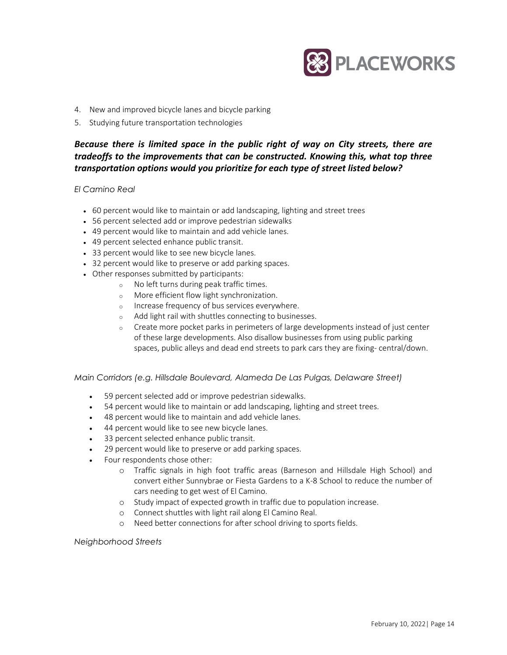

- 4. New and improved bicycle lanes and bicycle parking
- 5. Studying future transportation technologies

## *Because there is limited space in the public right of way on City streets, there are tradeoffs to the improvements that can be constructed. Knowing this, what top three transportation options would you prioritize for each type of street listed below?*

#### *El Camino Real*

- 60 percent would like to maintain or add landscaping, lighting and street trees
- 56 percent selected add or improve pedestrian sidewalks
- 49 percent would like to maintain and add vehicle lanes.
- 49 percent selected enhance public transit.
- 33 percent would like to see new bicycle lanes.
- 32 percent would like to preserve or add parking spaces.
- Other responses submitted by participants:
	- <sup>o</sup> No left turns during peak traffic times.
	- <sup>o</sup> More efficient flow Iight synchronization.
	- <sup>o</sup> Increase frequency of bus services everywhere.
	- <sup>o</sup> Add light rail with shuttles connecting to businesses.
	- <sup>o</sup> Create more pocket parks in perimeters of large developments instead of just center of these large developments. Also disallow businesses from using public parking spaces, public alleys and dead end streets to park cars they are fixing- central/down.

*Main Corridors (e.g. Hillsdale Boulevard, Alameda De Las Pulgas, Delaware Street)* 

- 59 percent selected add or improve pedestrian sidewalks.
- 54 percent would like to maintain or add landscaping, lighting and street trees.
- 48 percent would like to maintain and add vehicle lanes.
- 44 percent would like to see new bicycle lanes.
- 33 percent selected enhance public transit.
- 29 percent would like to preserve or add parking spaces.
- Four respondents chose other:
	- o Traffic signals in high foot traffic areas (Barneson and Hillsdale High School) and convert either Sunnybrae or Fiesta Gardens to a K-8 School to reduce the number of cars needing to get west of El Camino.
	- o Study impact of expected growth in traffic due to population increase.
	- o Connect shuttles with light rail along El Camino Real.
	- o Need better connections for after school driving to sports fields.

#### *Neighborhood Streets*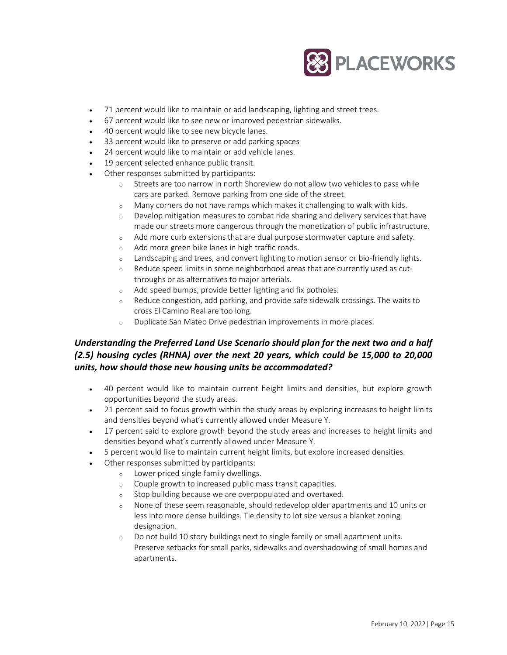

- 71 percent would like to maintain or add landscaping, lighting and street trees.
- 67 percent would like to see new or improved pedestrian sidewalks.
- 40 percent would like to see new bicycle lanes.
- 33 percent would like to preserve or add parking spaces
- 24 percent would like to maintain or add vehicle lanes.
- 19 percent selected enhance public transit.
- Other responses submitted by participants:
	- $\circ$  Streets are too narrow in north Shoreview do not allow two vehicles to pass while cars are parked. Remove parking from one side of the street.
	- <sup>o</sup> Many corners do not have ramps which makes it challenging to walk with kids.
	- $\circ$  Develop mitigation measures to combat ride sharing and delivery services that have made our streets more dangerous through the monetization of public infrastructure.
	- <sup>o</sup> Add more curb extensions that are dual purpose stormwater capture and safety.
	- <sup>o</sup> Add more green bike lanes in high traffic roads.
	- <sup>o</sup> Landscaping and trees, and convert lighting to motion sensor or bio-friendly lights.
	- <sup>o</sup> Reduce speed limits in some neighborhood areas that are currently used as cutthroughs or as alternatives to major arterials.
	- <sup>o</sup> Add speed bumps, provide better lighting and fix potholes.
	- <sup>o</sup> Reduce congestion, add parking, and provide safe sidewalk crossings. The waits to cross El Camino Real are too long.
	- <sup>o</sup> Duplicate San Mateo Drive pedestrian improvements in more places.

## *Understanding the Preferred Land Use Scenario should plan for the next two and a half (2.5) housing cycles (RHNA) over the next 20 years, which could be 15,000 to 20,000 units, how should those new housing units be accommodated?*

- 40 percent would like to maintain current height limits and densities, but explore growth opportunities beyond the study areas.
- 21 percent said to focus growth within the study areas by exploring increases to height limits and densities beyond what's currently allowed under Measure Y.
- 17 percent said to explore growth beyond the study areas and increases to height limits and densities beyond what's currently allowed under Measure Y.
- 5 percent would like to maintain current height limits, but explore increased densities.
- Other responses submitted by participants:
	- <sup>o</sup> Lower priced single family dwellings.
	- <sup>o</sup> Couple growth to increased public mass transit capacities.
	- <sup>o</sup> Stop building because we are overpopulated and overtaxed.
	- <sup>o</sup> None of these seem reasonable, should redevelop older apartments and 10 units or less into more dense buildings. Tie density to lot size versus a blanket zoning designation.
	- <sup>o</sup> Do not build 10 story buildings next to single family or small apartment units. Preserve setbacks for small parks, sidewalks and overshadowing of small homes and apartments.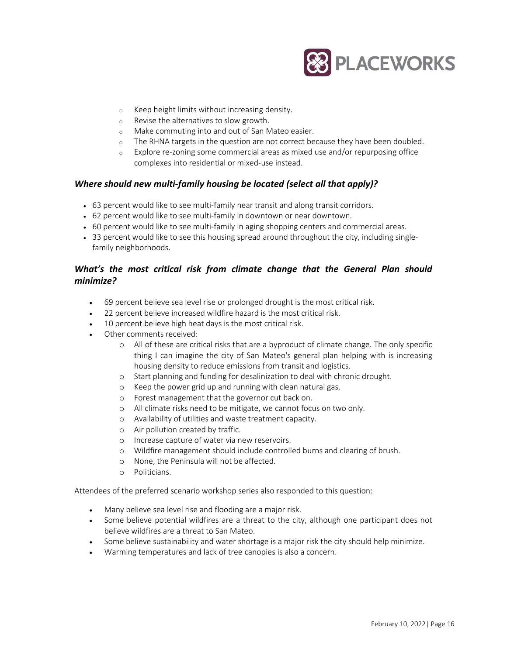

- <sup>o</sup> Keep height limits without increasing density.
- <sup>o</sup> Revise the alternatives to slow growth.
- <sup>o</sup> Make commuting into and out of San Mateo easier.
- <sup>o</sup> The RHNA targets in the question are not correct because they have been doubled.
- $\circ$  Explore re-zoning some commercial areas as mixed use and/or repurposing office complexes into residential or mixed-use instead.

## *Where should new multi-family housing be located (select all that apply)?*

- 63 percent would like to see multi-family near transit and along transit corridors.
- 62 percent would like to see multi-family in downtown or near downtown.
- 60 percent would like to see multi-family in aging shopping centers and commercial areas.
- 33 percent would like to see this housing spread around throughout the city, including singlefamily neighborhoods.

## *What's the most critical risk from climate change that the General Plan should minimize?*

- 69 percent believe sea level rise or prolonged drought is the most critical risk.
- 22 percent believe increased wildfire hazard is the most critical risk.
- 10 percent believe high heat days is the most critical risk.
- Other comments received:
	- o All of these are critical risks that are a byproduct of climate change. The only specific thing I can imagine the city of San Mateo's general plan helping with is increasing housing density to reduce emissions from transit and logistics.
	- o Start planning and funding for desalinization to deal with chronic drought.
	- o Keep the power grid up and running with clean natural gas.
	- o Forest management that the governor cut back on.
	- o All climate risks need to be mitigate, we cannot focus on two only.
	- o Availability of utilities and waste treatment capacity.
	- o Air pollution created by traffic.
	- o Increase capture of water via new reservoirs.
	- o Wildfire management should include controlled burns and clearing of brush.
	- o None, the Peninsula will not be affected.
	- o Politicians.

Attendees of the preferred scenario workshop series also responded to this question:

- Many believe sea level rise and flooding are a major risk.
- Some believe potential wildfires are a threat to the city, although one participant does not believe wildfires are a threat to San Mateo.
- Some believe sustainability and water shortage is a major risk the city should help minimize.
- Warming temperatures and lack of tree canopies is also a concern.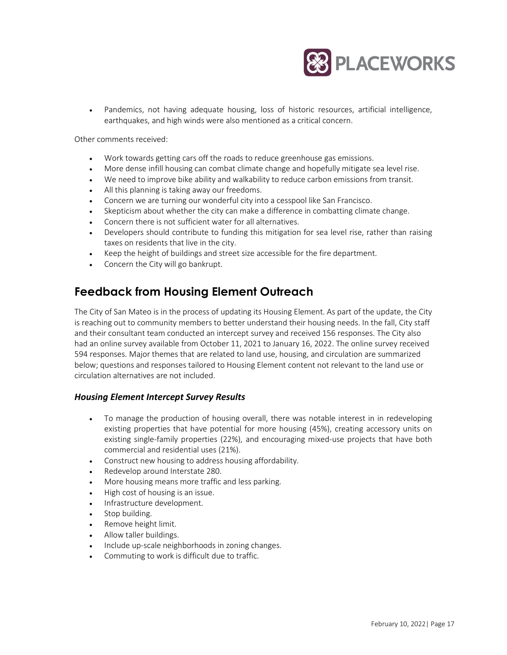

• Pandemics, not having adequate housing, loss of historic resources, artificial intelligence, earthquakes, and high winds were also mentioned as a critical concern.

Other comments received:

- Work towards getting cars off the roads to reduce greenhouse gas emissions.
- More dense infill housing can combat climate change and hopefully mitigate sea level rise.
- We need to improve bike ability and walkability to reduce carbon emissions from transit.
- All this planning is taking away our freedoms.
- Concern we are turning our wonderful city into a cesspool like San Francisco.
- Skepticism about whether the city can make a difference in combatting climate change.
- Concern there is not sufficient water for all alternatives.
- Developers should contribute to funding this mitigation for sea level rise, rather than raising taxes on residents that live in the city.
- Keep the height of buildings and street size accessible for the fire department.
- Concern the City will go bankrupt.

## **Feedback from Housing Element Outreach**

The City of San Mateo is in the process of updating its Housing Element. As part of the update, the City is reaching out to community members to better understand their housing needs. In the fall, City staff and their consultant team conducted an intercept survey and received 156 responses. The City also had an online survey available from October 11, 2021 to January 16, 2022. The online survey received 594 responses. Major themes that are related to land use, housing, and circulation are summarized below; questions and responses tailored to Housing Element content not relevant to the land use or circulation alternatives are not included.

## *Housing Element Intercept Survey Results*

- To manage the production of housing overall, there was notable interest in in redeveloping existing properties that have potential for more housing (45%), creating accessory units on existing single-family properties (22%), and encouraging mixed-use projects that have both commercial and residential uses (21%).
- Construct new housing to address housing affordability.
- Redevelop around Interstate 280.
- More housing means more traffic and less parking.
- High cost of housing is an issue.
- Infrastructure development.
- Stop building.
- Remove height limit.
- Allow taller buildings.
- Include up-scale neighborhoods in zoning changes.
- Commuting to work is difficult due to traffic.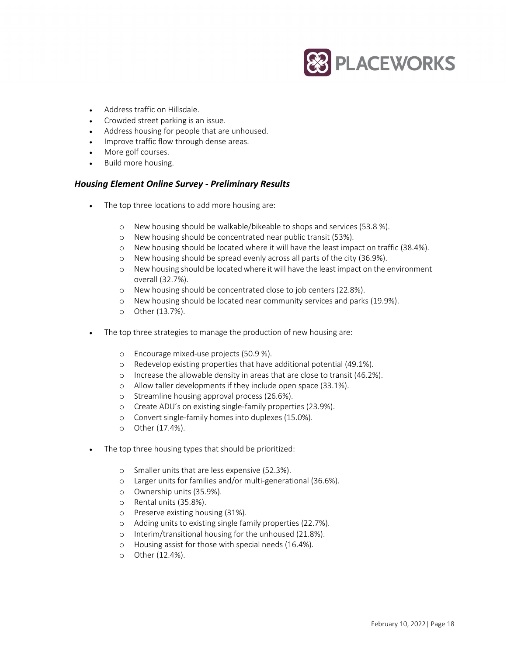

- Address traffic on Hillsdale.
- Crowded street parking is an issue.
- Address housing for people that are unhoused.
- Improve traffic flow through dense areas.
- More golf courses.
- Build more housing.

## *Housing Element Online Survey - Preliminary Results*

- The top three locations to add more housing are:
	- o New housing should be walkable/bikeable to shops and services (53.8 %).
	- o New housing should be concentrated near public transit (53%).
	- o New housing should be located where it will have the least impact on traffic (38.4%).
	- o New housing should be spread evenly across all parts of the city (36.9%).
	- o New housing should be located where it will have the least impact on the environment overall (32.7%).
	- o New housing should be concentrated close to job centers (22.8%).
	- o New housing should be located near community services and parks (19.9%).
	- o Other (13.7%).
- The top three strategies to manage the production of new housing are:
	- o Encourage mixed-use projects (50.9 %).
	- o Redevelop existing properties that have additional potential (49.1%).
	- o Increase the allowable density in areas that are close to transit (46.2%).
	- o Allow taller developments if they include open space (33.1%).
	- o Streamline housing approval process (26.6%).
	- o Create ADU's on existing single-family properties (23.9%).
	- o Convert single-family homes into duplexes (15.0%).
	- o Other (17.4%).
- The top three housing types that should be prioritized:
	- o Smaller units that are less expensive (52.3%).
	- o Larger units for families and/or multi-generational (36.6%).
	- o Ownership units (35.9%).
	- o Rental units (35.8%).
	- o Preserve existing housing (31%).
	- o Adding units to existing single family properties (22.7%).
	- o Interim/transitional housing for the unhoused (21.8%).
	- o Housing assist for those with special needs (16.4%).
	- o Other (12.4%).